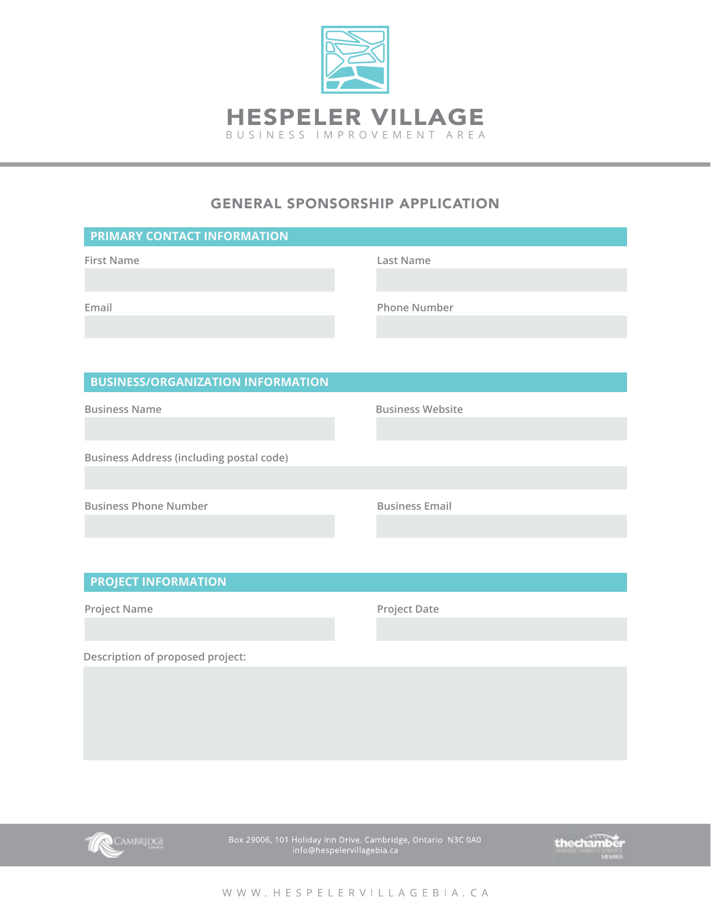

# GENERAL SPONSORSHIP APPLICATION

| PRIMARY CONTACT INFORMATION                     |                         |
|-------------------------------------------------|-------------------------|
| <b>First Name</b>                               | <b>Last Name</b>        |
|                                                 |                         |
| Email                                           | <b>Phone Number</b>     |
|                                                 |                         |
|                                                 |                         |
| <b>BUSINESS/ORGANIZATION INFORMATION</b>        |                         |
| <b>Business Name</b>                            | <b>Business Website</b> |
|                                                 |                         |
| <b>Business Address (including postal code)</b> |                         |
|                                                 |                         |
| <b>Business Phone Number</b>                    | <b>Business Email</b>   |
|                                                 |                         |
|                                                 |                         |

### **PROJECT INFORMATION**

**Project Name Project Date**

**Description of proposed project:**



Box 29006, 101 Holiday Inn Drive. Cambridge, Ontario N3C 0A0<br>info@hespelervillagebia.ca



WWW.HESPELERVILLAGEBIA.CA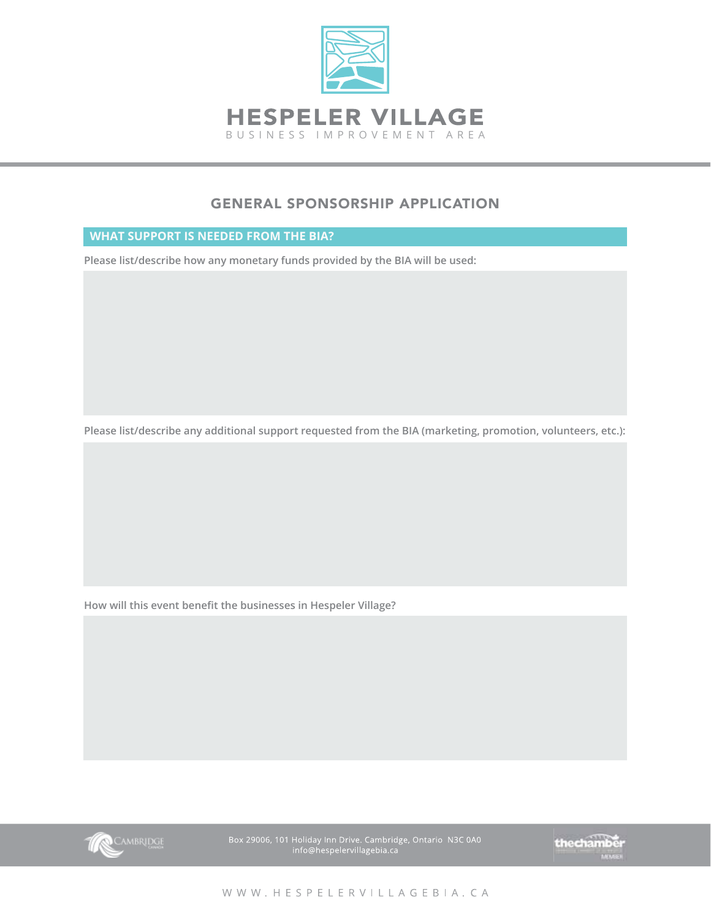

# GENERAL SPONSORSHIP APPLICATION

#### **WHAT SUPPORT IS NEEDED FROM THE BIA?**

**Please list/describe how any monetary funds provided by the BIA will be used:**

**Please list/describe any additional support requested from the BIA (marketing, promotion, volunteers, etc.):**

**How will this event benefit the businesses in Hespeler Village?**



Box 29006, 101 Holiday Inn Drive. Cambridge, Ontario N3C 0A0<br>info@hespelervillagebia.ca

thechamber

WWW.HESPELERVILLAGEBIA.CA